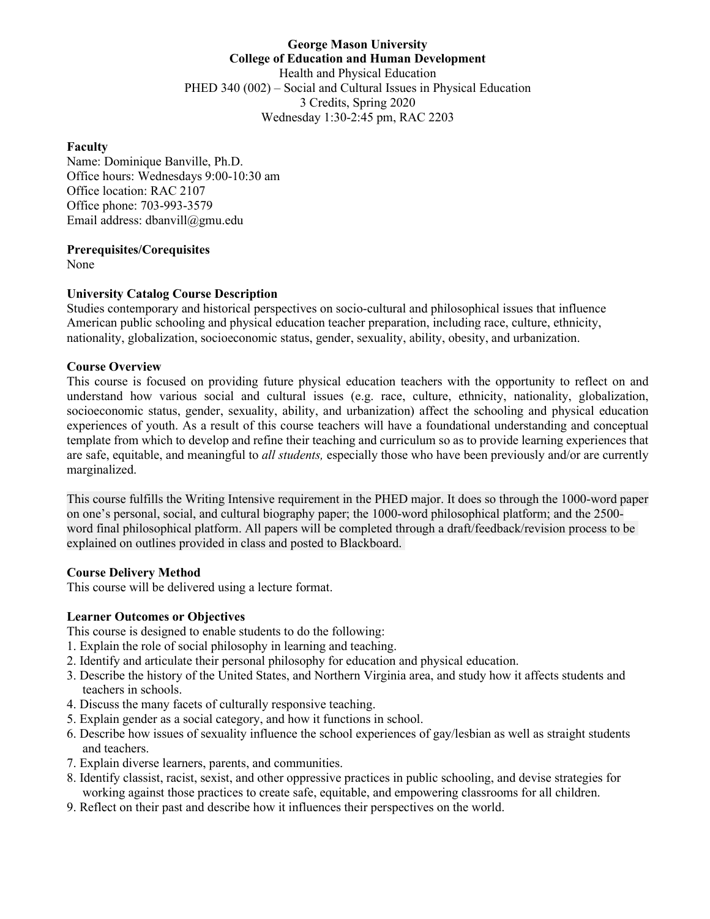## **George Mason University College of Education and Human Development** Health and Physical Education PHED 340 (002) – Social and Cultural Issues in Physical Education 3 Credits, Spring 2020 Wednesday 1:30-2:45 pm, RAC 2203

#### **Faculty**

Name: Dominique Banville, Ph.D. Office hours: Wednesdays 9:00-10:30 am Office location: RAC 2107 Office phone: 703-993-3579 Email address: dbanvill@gmu.edu

### **Prerequisites/Corequisites**

None

## **University Catalog Course Description**

Studies contemporary and historical perspectives on socio-cultural and philosophical issues that influence American public schooling and physical education teacher preparation, including race, culture, ethnicity, nationality, globalization, socioeconomic status, gender, sexuality, ability, obesity, and urbanization.

### **Course Overview**

This course is focused on providing future physical education teachers with the opportunity to reflect on and understand how various social and cultural issues (e.g. race, culture, ethnicity, nationality, globalization, socioeconomic status, gender, sexuality, ability, and urbanization) affect the schooling and physical education experiences of youth. As a result of this course teachers will have a foundational understanding and conceptual template from which to develop and refine their teaching and curriculum so as to provide learning experiences that are safe, equitable, and meaningful to *all students,* especially those who have been previously and/or are currently marginalized.

This course fulfills the Writing Intensive requirement in the PHED major. It does so through the 1000-word paper on one's personal, social, and cultural biography paper; the 1000-word philosophical platform; and the 2500 word final philosophical platform. All papers will be completed through a draft/feedback/revision process to be explained on outlines provided in class and posted to Blackboard.

### **Course Delivery Method**

This course will be delivered using a lecture format.

# **Learner Outcomes or Objectives**

This course is designed to enable students to do the following:

- 1. Explain the role of social philosophy in learning and teaching.
- 2. Identify and articulate their personal philosophy for education and physical education.
- 3. Describe the history of the United States, and Northern Virginia area, and study how it affects students and teachers in schools.
- 4. Discuss the many facets of culturally responsive teaching.
- 5. Explain gender as a social category, and how it functions in school.
- 6. Describe how issues of sexuality influence the school experiences of gay/lesbian as well as straight students and teachers.
- 7. Explain diverse learners, parents, and communities.
- 8. Identify classist, racist, sexist, and other oppressive practices in public schooling, and devise strategies for working against those practices to create safe, equitable, and empowering classrooms for all children.
- 9. Reflect on their past and describe how it influences their perspectives on the world.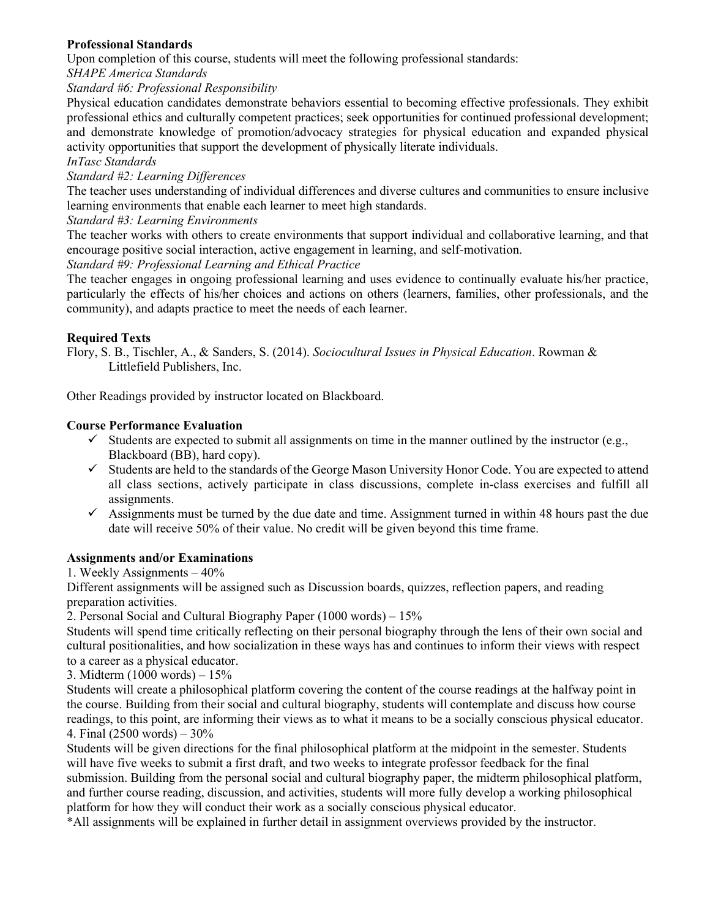# **Professional Standards**

Upon completion of this course, students will meet the following professional standards:

*SHAPE America Standards*

*Standard #6: Professional Responsibility*

Physical education candidates demonstrate behaviors essential to becoming effective professionals. They exhibit professional ethics and culturally competent practices; seek opportunities for continued professional development; and demonstrate knowledge of promotion/advocacy strategies for physical education and expanded physical activity opportunities that support the development of physically literate individuals.

*InTasc Standards*

## *Standard #2: Learning Differences*

The teacher uses understanding of individual differences and diverse cultures and communities to ensure inclusive learning environments that enable each learner to meet high standards.

# *Standard #3: Learning Environments*

The teacher works with others to create environments that support individual and collaborative learning, and that encourage positive social interaction, active engagement in learning, and self-motivation.

## *Standard #9: Professional Learning and Ethical Practice*

The teacher engages in ongoing professional learning and uses evidence to continually evaluate his/her practice, particularly the effects of his/her choices and actions on others (learners, families, other professionals, and the community), and adapts practice to meet the needs of each learner.

# **Required Texts**

Flory, S. B., Tischler, A., & Sanders, S. (2014). *Sociocultural Issues in Physical Education*. Rowman & Littlefield Publishers, Inc.

Other Readings provided by instructor located on Blackboard.

# **Course Performance Evaluation**

- $\checkmark$  Students are expected to submit all assignments on time in the manner outlined by the instructor (e.g., Blackboard (BB), hard copy).
- $\checkmark$  Students are held to the standards of the George Mason University Honor Code. You are expected to attend all class sections, actively participate in class discussions, complete in-class exercises and fulfill all assignments.
- $\checkmark$  Assignments must be turned by the due date and time. Assignment turned in within 48 hours past the due date will receive 50% of their value. No credit will be given beyond this time frame.

# **Assignments and/or Examinations**

1. Weekly Assignments – 40%

Different assignments will be assigned such as Discussion boards, quizzes, reflection papers, and reading preparation activities.

2. Personal Social and Cultural Biography Paper (1000 words) – 15%

Students will spend time critically reflecting on their personal biography through the lens of their own social and cultural positionalities, and how socialization in these ways has and continues to inform their views with respect to a career as a physical educator.

3. Midterm (1000 words) – 15%

Students will create a philosophical platform covering the content of the course readings at the halfway point in the course. Building from their social and cultural biography, students will contemplate and discuss how course readings, to this point, are informing their views as to what it means to be a socially conscious physical educator. 4. Final (2500 words) – 30%

Students will be given directions for the final philosophical platform at the midpoint in the semester. Students will have five weeks to submit a first draft, and two weeks to integrate professor feedback for the final submission. Building from the personal social and cultural biography paper, the midterm philosophical platform, and further course reading, discussion, and activities, students will more fully develop a working philosophical platform for how they will conduct their work as a socially conscious physical educator.

\*All assignments will be explained in further detail in assignment overviews provided by the instructor.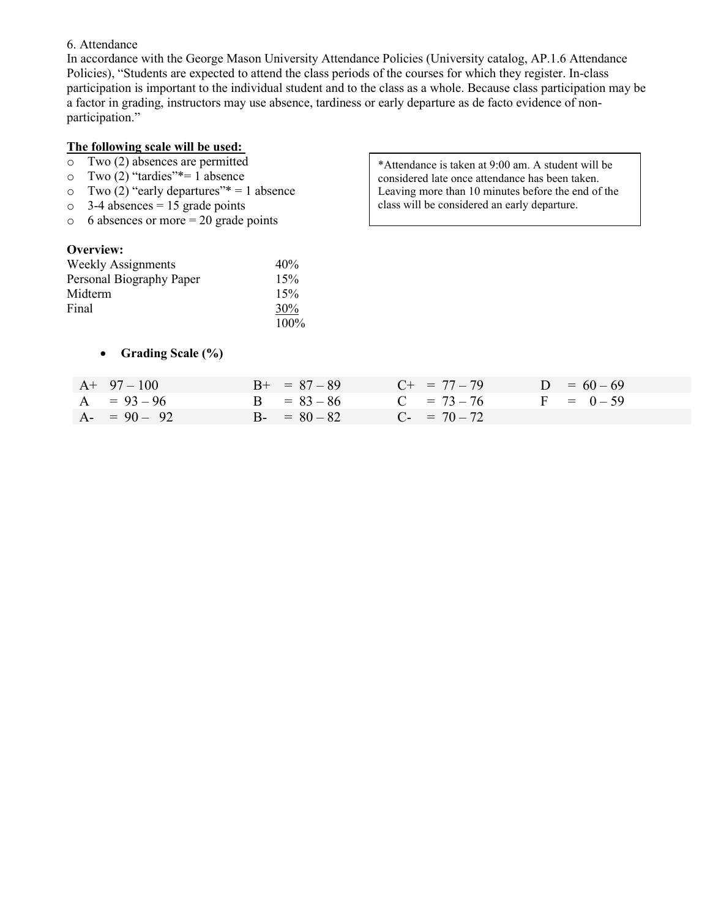#### 6. Attendance

In accordance with the George Mason University Attendance Policies (University catalog, AP.1.6 Attendance Policies), "Students are expected to attend the class periods of the courses for which they register. In-class participation is important to the individual student and to the class as a whole. Because class participation may be a factor in grading, instructors may use absence, tardiness or early departure as de facto evidence of nonparticipation."

### **The following scale will be used:**

- o Two (2) absences are permitted
- $\circ$  Two (2) "tardies"\*= 1 absence<br> $\circ$  Two (2) "early departures"\* = 1
- $\degree$  Two (2) "early departures"\* = 1 absence<br> $\degree$  3-4 absences = 15 grade points
- $3-4$  absences = 15 grade points
- $\circ$  6 absences or more = 20 grade points

#### **Overview:**

| <b>Weekly Assignments</b> | 40%     |
|---------------------------|---------|
| Personal Biography Paper  | 15%     |
| Midterm                   | 15%     |
| Final                     | 30%     |
|                           | $100\%$ |

• **Grading Scale (%)**

\*Attendance is taken at 9:00 am. A student will be considered late once attendance has been taken. Leaving more than 10 minutes before the end of the class will be considered an early departure.

| $A+97-100$      | $B+ = 87 - 89$ | $C_{+}$ = 77 - 79 | $D = 60 - 69$ |
|-----------------|----------------|-------------------|---------------|
| $A = 93 - 96$   | $B = 83 - 86$  | $C = 73 - 76$     | $F = 0 - 59$  |
| $A - = 90 - 92$ | $B - 80 - 82$  | $C_{-}$ = 70 - 72 |               |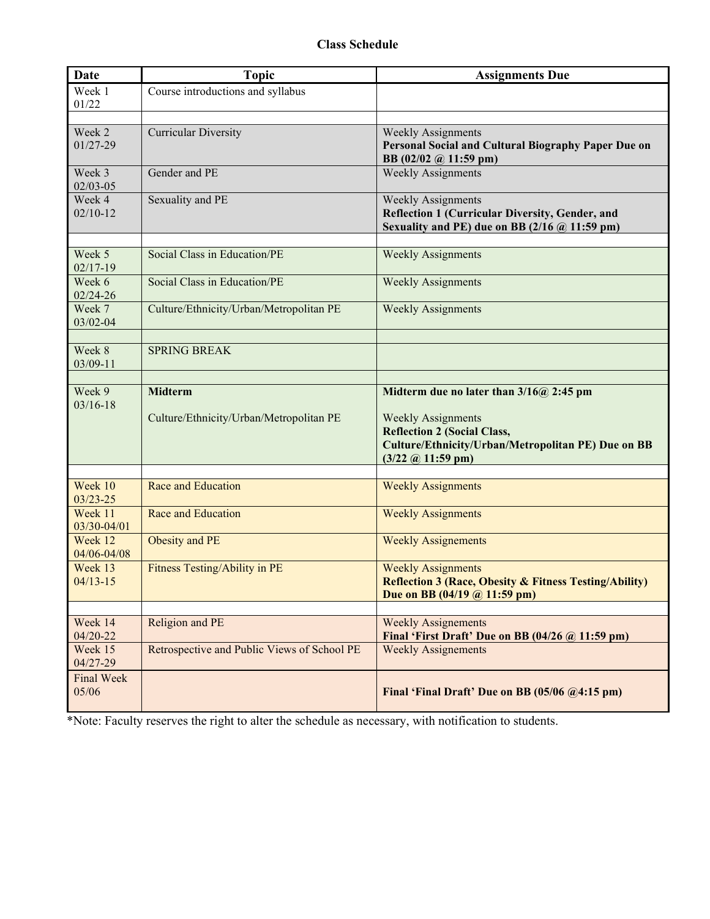| <b>Date</b>             | <b>Topic</b>                                | <b>Assignments Due</b>                                                                            |
|-------------------------|---------------------------------------------|---------------------------------------------------------------------------------------------------|
| Week 1                  | Course introductions and syllabus           |                                                                                                   |
| 01/22                   |                                             |                                                                                                   |
| Week 2                  | <b>Curricular Diversity</b>                 | <b>Weekly Assignments</b>                                                                         |
| $01/27 - 29$            |                                             | Personal Social and Cultural Biography Paper Due on                                               |
|                         |                                             | BB (02/02 @ 11:59 pm)                                                                             |
| Week 3                  | Gender and PE                               | <b>Weekly Assignments</b>                                                                         |
| $02/03 - 05$            |                                             |                                                                                                   |
| Week 4                  | Sexuality and PE                            | <b>Weekly Assignments</b>                                                                         |
| $02/10-12$              |                                             | Reflection 1 (Curricular Diversity, Gender, and                                                   |
|                         |                                             | Sexuality and PE) due on BB $(2/16 \text{ @ } 11:59 \text{ pm})$                                  |
| Week 5                  | Social Class in Education/PE                | <b>Weekly Assignments</b>                                                                         |
| $02/17-19$              |                                             |                                                                                                   |
| Week 6                  | Social Class in Education/PE                | <b>Weekly Assignments</b>                                                                         |
| $02/24 - 26$            |                                             |                                                                                                   |
| Week 7                  | Culture/Ethnicity/Urban/Metropolitan PE     | <b>Weekly Assignments</b>                                                                         |
| 03/02-04                |                                             |                                                                                                   |
| Week 8                  | <b>SPRING BREAK</b>                         |                                                                                                   |
| 03/09-11                |                                             |                                                                                                   |
|                         |                                             |                                                                                                   |
| Week 9                  | <b>Midterm</b>                              | Midterm due no later than $3/16@$ 2:45 pm                                                         |
| $03/16 - 18$            |                                             |                                                                                                   |
|                         | Culture/Ethnicity/Urban/Metropolitan PE     | <b>Weekly Assignments</b>                                                                         |
|                         |                                             | <b>Reflection 2 (Social Class,</b><br><b>Culture/Ethnicity/Urban/Metropolitan PE) Due on BB</b>   |
|                         |                                             | $(3/22 \text{ } @ 11:59 \text{ pm})$                                                              |
|                         |                                             |                                                                                                   |
| Week 10                 | Race and Education                          | <b>Weekly Assignments</b>                                                                         |
| $03/23 - 25$            |                                             |                                                                                                   |
| Week 11<br>03/30-04/01  | Race and Education                          | <b>Weekly Assignments</b>                                                                         |
| Week 12                 | Obesity and PE                              | <b>Weekly Assignements</b>                                                                        |
| 04/06-04/08             |                                             |                                                                                                   |
| Week 13                 | <b>Fitness Testing/Ability in PE</b>        | <b>Weekly Assignments</b>                                                                         |
| $04/13 - 15$            |                                             | <b>Reflection 3 (Race, Obesity &amp; Fitness Testing/Ability)</b>                                 |
|                         |                                             | Due on BB (04/19 @ 11:59 pm)                                                                      |
|                         |                                             |                                                                                                   |
| Week 14<br>$04/20 - 22$ | Religion and PE                             | <b>Weekly Assignements</b><br>Final 'First Draft' Due on BB $(04/26 \text{ @ } 11:59 \text{ pm})$ |
| Week 15                 | Retrospective and Public Views of School PE | <b>Weekly Assignements</b>                                                                        |
| 04/27-29                |                                             |                                                                                                   |
| <b>Final Week</b>       |                                             |                                                                                                   |
| 05/06                   |                                             | Final 'Final Draft' Due on BB (05/06 @4:15 pm)                                                    |
|                         |                                             |                                                                                                   |

\*Note: Faculty reserves the right to alter the schedule as necessary, with notification to students.